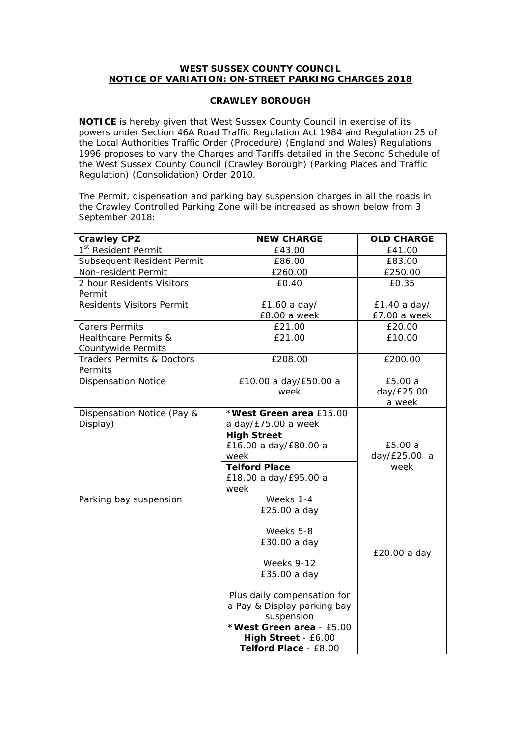## **WEST SUSSEX COUNTY COUNCIL NOTICE OF VARIATION: ON-STREET PARKING CHARGES 2018**

## **CRAWLEY BOROUGH**

**NOTICE** is hereby given that West Sussex County Council in exercise of its powers under Section 46A Road Traffic Regulation Act 1984 and Regulation 25 of the Local Authorities Traffic Order (Procedure) (England and Wales) Regulations 1996 proposes to vary the Charges and Tariffs detailed in the Second Schedule of the West Sussex County Council (Crawley Borough) (Parking Places and Traffic Regulation) (Consolidation) Order 2010.

The Permit, dispensation and parking bay suspension charges in all the roads in the Crawley Controlled Parking Zone will be increased as shown below from 3 September 2018:

| <b>Crawley CPZ</b>                   | <b>NEW CHARGE</b>           | <b>OLD CHARGE</b> |
|--------------------------------------|-----------------------------|-------------------|
| 1 <sup>st</sup> Resident Permit      | £43.00                      | £41.00            |
| Subsequent Resident Permit           | £86.00                      | £83.00            |
| Non-resident Permit                  | £260.00                     | £250.00           |
| 2 hour Residents Visitors            | £0.40                       | £0.35             |
| Permit                               |                             |                   |
| <b>Residents Visitors Permit</b>     | £1.60 a day/                | £1.40 a day/      |
|                                      | £8.00 a week                | £7.00 a week      |
| <b>Carers Permits</b>                | £21.00                      | £20.00            |
| Healthcare Permits &                 | £21.00                      | £10.00            |
| Countywide Permits                   |                             |                   |
| <b>Traders Permits &amp; Doctors</b> | £208.00                     | £200.00           |
| Permits                              |                             |                   |
| <b>Dispensation Notice</b>           | £10.00 a day/£50.00 a       | £5.00 a           |
|                                      | week                        | day/£25.00        |
|                                      |                             | a week            |
| Dispensation Notice (Pay &           | *West Green area £15.00     |                   |
| Display)                             | a day/£75.00 a week         |                   |
|                                      | <b>High Street</b>          |                   |
|                                      | £16.00 a day/£80.00 a       | £5.00 a           |
|                                      | week                        | day/£25.00 a      |
|                                      | <b>Telford Place</b>        | week              |
|                                      | £18.00 a day/£95.00 a       |                   |
|                                      | week                        |                   |
| Parking bay suspension               | Weeks 1-4                   |                   |
|                                      | £25.00 a day                |                   |
|                                      |                             |                   |
|                                      | Weeks 5-8                   |                   |
|                                      | £30.00 a day                |                   |
|                                      |                             | £20.00 a day      |
|                                      | <b>Weeks 9-12</b>           |                   |
|                                      | £35.00 a day                |                   |
|                                      |                             |                   |
|                                      | Plus daily compensation for |                   |
|                                      | a Pay & Display parking bay |                   |
|                                      | suspension                  |                   |
|                                      | *West Green area - £5.00    |                   |
|                                      | High Street - £6.00         |                   |
|                                      | Telford Place - £8.00       |                   |